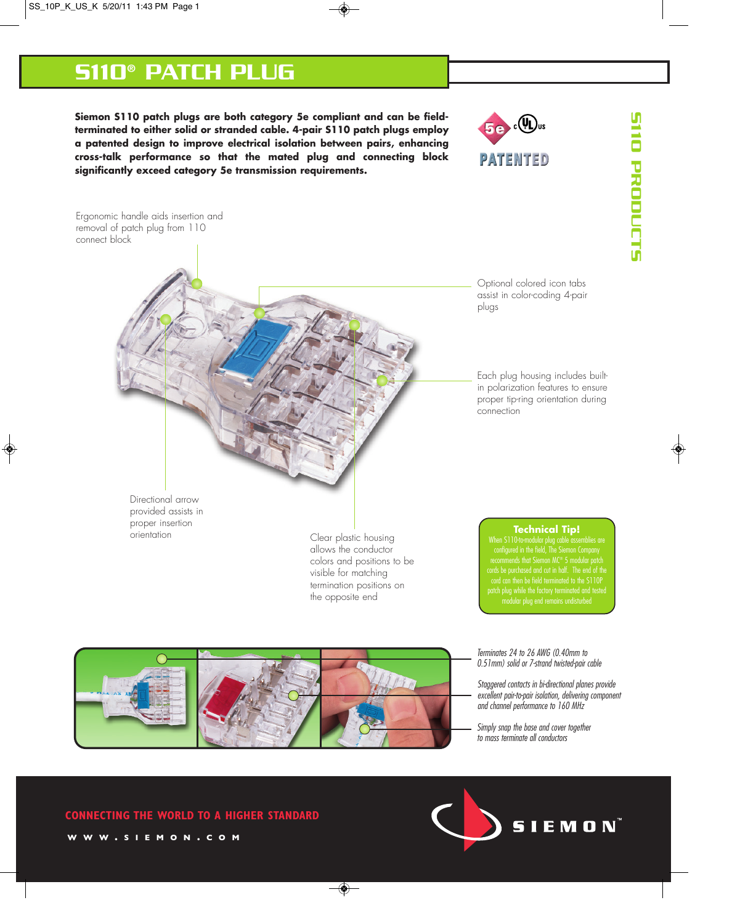# S110® PATCH PLUG

**Siemon S110 patch plugs are both category 5e compliant and can be fieldterminated to either solid or stranded cable. 4-pair S110 patch plugs employ a patented design to improve electrical isolation between pairs, enhancing cross-talk performance so that the mated plug and connecting block significantly exceed category 5e transmission requirements.**







Terminates 24 to 26 AWG (0.40mm to 0.51mm) solid or 7-strand twisted-pair cable

Staggered contacts in bi-directional planes provide excellent pair-to-pair isolation, delivering component and channel performance to 160 MHz

Simply snap the base and cover together to mass terminate all conductors



**CONNECTING THE WORLD TO A HIGHER STANDARD WWW . SIEMON . COM**